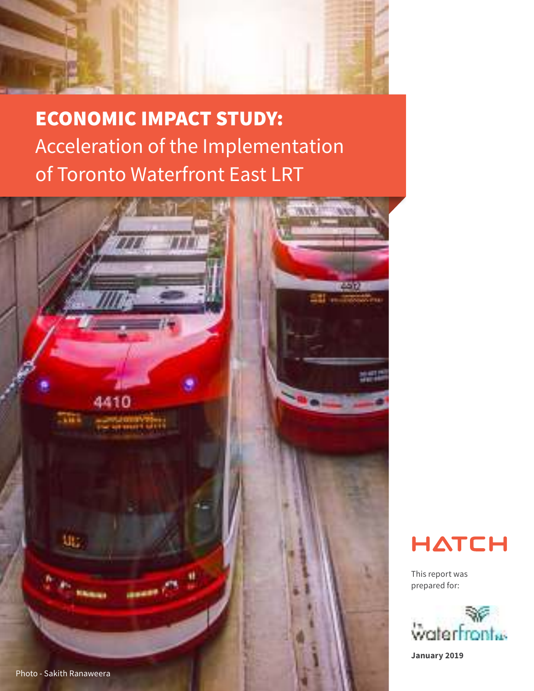

# ECONOMIC IMPACT STUDY: Acceleration of the Implementation of Toronto Waterfront East LRT





This report was prepared for:



**January 2019**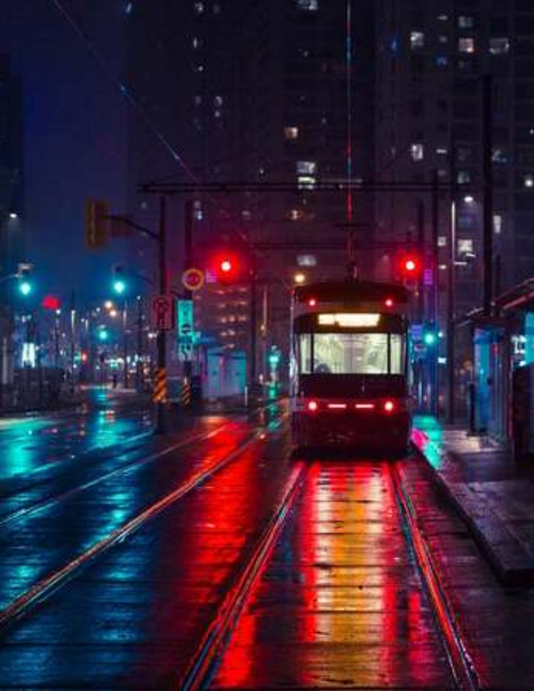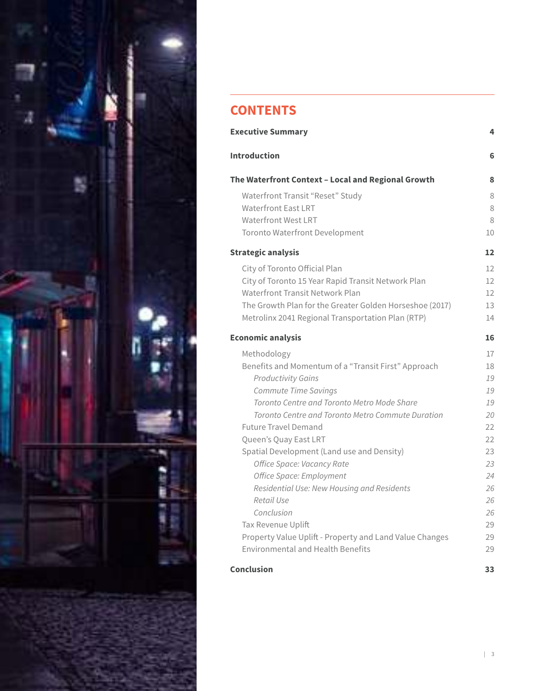

### **CONTENTS**

| <b>Executive Summary</b>                                |    |  |
|---------------------------------------------------------|----|--|
| <b>Introduction</b>                                     | 6  |  |
| The Waterfront Context - Local and Regional Growth      | 8  |  |
| Waterfront Transit "Reset" Study                        | 8  |  |
| <b>Waterfront East LRT</b>                              | 8  |  |
| <b>Waterfront West LRT</b>                              | 8  |  |
| <b>Toronto Waterfront Development</b>                   | 10 |  |
| <b>Strategic analysis</b>                               | 12 |  |
| City of Toronto Official Plan                           | 12 |  |
| City of Toronto 15 Year Rapid Transit Network Plan      | 12 |  |
| <b>Waterfront Transit Network Plan</b>                  | 12 |  |
| The Growth Plan for the Greater Golden Horseshoe (2017) | 13 |  |
| Metrolinx 2041 Regional Transportation Plan (RTP)       | 14 |  |
| <b>Economic analysis</b>                                | 16 |  |
| Methodology                                             | 17 |  |
| Benefits and Momentum of a "Transit First" Approach     | 18 |  |
| <b>Productivity Gains</b>                               | 19 |  |
| Commute Time Savings                                    | 19 |  |
| Toronto Centre and Toronto Metro Mode Share             | 19 |  |
| Toronto Centre and Toronto Metro Commute Duration       | 20 |  |
| <b>Future Travel Demand</b>                             | 22 |  |
| Queen's Quay East LRT                                   | 22 |  |
| Spatial Development (Land use and Density)              | 23 |  |
| Office Space: Vacancy Rate                              | 23 |  |
| Office Space: Employment                                | 24 |  |
| Residential Use: New Housing and Residents              | 26 |  |
| Retail Use                                              | 26 |  |
| Conclusion                                              | 26 |  |
| Tax Revenue Uplift                                      | 29 |  |
| Property Value Uplift - Property and Land Value Changes | 29 |  |
| <b>Environmental and Health Benefits</b>                | 29 |  |
| <b>Conclusion</b>                                       | 33 |  |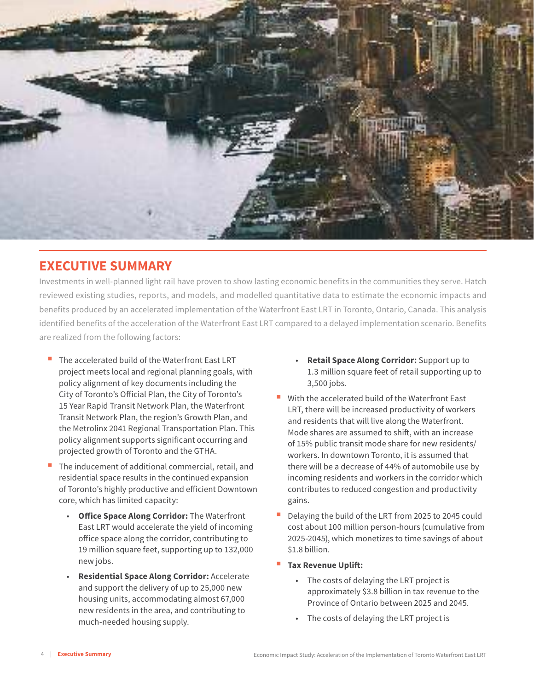<span id="page-3-0"></span>

### **EXECUTIVE SUMMARY**

Investments in well-planned light rail have proven to show lasting economic benefits in the communities they serve. Hatch reviewed existing studies, reports, and models, and modelled quantitative data to estimate the economic impacts and benefits produced by an accelerated implementation of the Waterfront East LRT in Toronto, Ontario, Canada. This analysis identified benefits of the acceleration of the Waterfront East LRT compared to a delayed implementation scenario. Benefits are realized from the following factors:

- The accelerated build of the Waterfront East LRT project meets local and regional planning goals, with policy alignment of key documents including the City of Toronto's Official Plan, the City of Toronto's 15 Year Rapid Transit Network Plan, the Waterfront Transit Network Plan, the region's Growth Plan, and the Metrolinx 2041 Regional Transportation Plan. This policy alignment supports significant occurring and projected growth of Toronto and the GTHA.
- The inducement of additional commercial, retail, and residential space results in the continued expansion of Toronto's highly productive and efficient Downtown core, which has limited capacity:
	- **Office Space Along Corridor:** The Waterfront East LRT would accelerate the yield of incoming office space along the corridor, contributing to 19 million square feet, supporting up to 132,000 new jobs.
	- **Residential Space Along Corridor:** Accelerate and support the delivery of up to 25,000 new housing units, accommodating almost 67,000 new residents in the area, and contributing to much-needed housing supply.
- **Retail Space Along Corridor:** Support up to 1.3 million square feet of retail supporting up to 3,500 jobs.
- With the accelerated build of the Waterfront East LRT, there will be increased productivity of workers and residents that will live along the Waterfront. Mode shares are assumed to shift, with an increase of 15% public transit mode share for new residents/ workers. In downtown Toronto, it is assumed that there will be a decrease of 44% of automobile use by incoming residents and workers in the corridor which contributes to reduced congestion and productivity gains.
- Delaying the build of the LRT from 2025 to 2045 could cost about 100 million person-hours (cumulative from 2025-2045), which monetizes to time savings of about \$1.8 billion.
- **Tax Revenue Uplift:**
	- The costs of delaying the LRT project is approximately \$3.8 billion in tax revenue to the Province of Ontario between 2025 and 2045.
	- The costs of delaying the LRT project is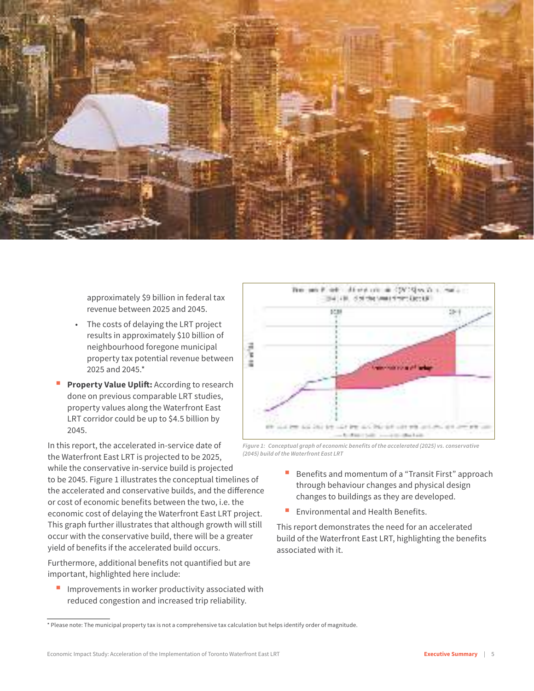

approximately \$9 billion in federal tax revenue between 2025 and 2045.

- The costs of delaying the LRT project results in approximately \$10 billion of neighbourhood foregone municipal property tax potential revenue between 2025 and 2045.\*
- **Property Value Uplift: According to research** done on previous comparable LRT studies, property values along the Waterfront East LRT corridor could be up to \$4.5 billion by 2045.

In this report, the accelerated in-service date of the Waterfront East LRT is projected to be 2025, while the conservative in-service build is projected to be 2045. Figure 1 illustrates the conceptual timelines of the accelerated and conservative builds, and the difference or cost of economic benefits between the two, i.e. the economic cost of delaying the Waterfront East LRT project. This graph further illustrates that although growth will still occur with the conservative build, there will be a greater yield of benefits if the accelerated build occurs.

Furthermore, additional benefits not quantified but are important, highlighted here include:

 Improvements in worker productivity associated with reduced congestion and increased trip reliability.



Figure 1: Conceptual graph of economic benefits of the accelerated (2025) vs. conservative **(2045) build of the Waterfront East LRT**

- Benefits and momentum of a "Transit First" approach through behaviour changes and physical design changes to buildings as they are developed.
- **E** Fnyironmental and Health Benefits.

This report demonstrates the need for an accelerated build of the Waterfront East LRT, highlighting the benefits associated with it.

<sup>\*</sup> Please note: The municipal property tax is not a comprehensive tax calculation but helps identify order of magnitude.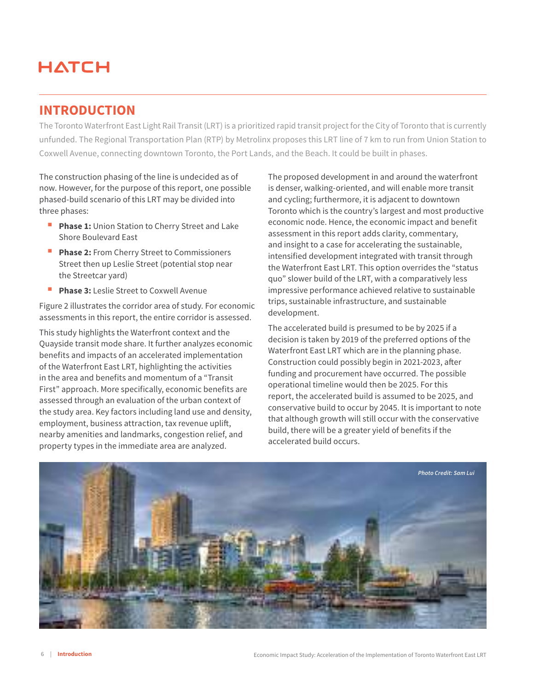### <span id="page-5-0"></span>**INTRODUCTION**

The Toronto Waterfront East Light Rail Transit (LRT) is a prioritized rapid transit project for the City of Toronto that is currently unfunded. The Regional Transportation Plan (RTP) by Metrolinx proposes this LRT line of 7 km to run from Union Station to Coxwell Avenue, connecting downtown Toronto, the Port Lands, and the Beach. It could be built in phases.

The construction phasing of the line is undecided as of now. However, for the purpose of this report, one possible phased-build scenario of this LRT may be divided into three phases:

- **Phase 1:** Union Station to Cherry Street and Lake Shore Boulevard East
- **Phase 2:** From Cherry Street to Commissioners Street then up Leslie Street (potential stop near the Streetcar yard)
- **Phase 3:** Leslie Street to Coxwell Avenue

Figure 2 illustrates the corridor area of study. For economic assessments in this report, the entire corridor is assessed.

This study highlights the Waterfront context and the Quayside transit mode share. It further analyzes economic benefits and impacts of an accelerated implementation of the Waterfront East LRT, highlighting the activities in the area and benefits and momentum of a "Transit First" approach. More specifically, economic benefits are assessed through an evaluation of the urban context of the study area. Key factors including land use and density, employment, business attraction, tax revenue uplift, nearby amenities and landmarks, congestion relief, and property types in the immediate area are analyzed.

The proposed development in and around the waterfront is denser, walking-oriented, and will enable more transit and cycling; furthermore, it is adjacent to downtown Toronto which is the country's largest and most productive economic node. Hence, the economic impact and benefit assessment in this report adds clarity, commentary, and insight to a case for accelerating the sustainable, intensified development integrated with transit through the Waterfront East LRT. This option overrides the "status quo" slower build of the LRT, with a comparatively less impressive performance achieved relative to sustainable trips, sustainable infrastructure, and sustainable development.

The accelerated build is presumed to be by 2025 if a decision is taken by 2019 of the preferred options of the Waterfront East LRT which are in the planning phase. Construction could possibly begin in 2021-2023, after funding and procurement have occurred. The possible operational timeline would then be 2025. For this report, the accelerated build is assumed to be 2025, and conservative build to occur by 2045. It is important to note that although growth will still occur with the conservative build, there will be a greater yield of benefits if the accelerated build occurs.

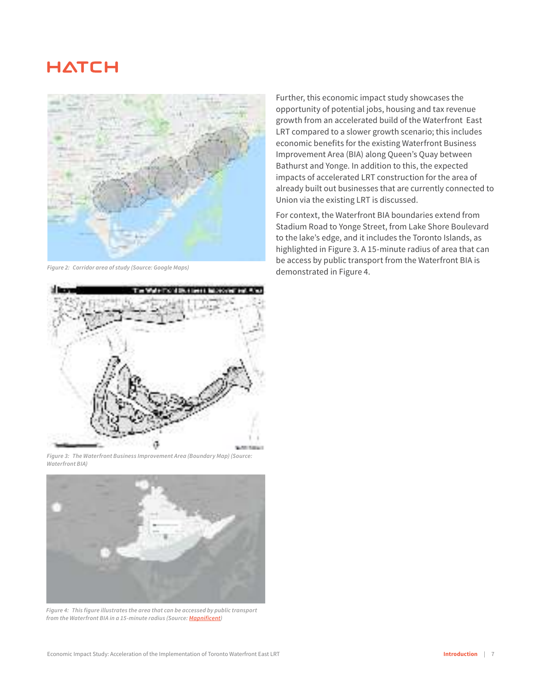



Figure 3: The Waterfront Business Improvement Area (Boundary Map) (Source: **Waterfront BIA)**



**Figure 4: This figure illustrates the area that can be ac[cessed by pu](https://www.mapnificent.net/toronto/#9/43.7165/-79.3247/900/43.6419/-79.3802)blic transport from the Waterfront BIA in a 15-minute radius (Source: Mapnificent)**

Further, this economic impact study showcases the opportunity of potential jobs, housing and tax revenue growth from an accelerated build of the Waterfront East LRT compared to a slower growth scenario; this includes economic benefits for the existing Waterfront Business Improvement Area (BIA) along Queen's Quay between Bathurst and Yonge. In addition to this, the expected impacts of accelerated LRT construction for the area of already built out businesses that are currently connected to Union via the existing LRT is discussed.

For context, the Waterfront BIA boundaries extend from Stadium Road to Yonge Street, from Lake Shore Boulevard to the lake's edge, and it includes the Toronto Islands, as highlighted in Figure 3. A 15-minute radius of area that can be access by public transport from the Waterfront BIA is Figure 2: Corridor area of study (Source: Google Maps) **Figure 2: Corridor area of study (Source: Google Maps)**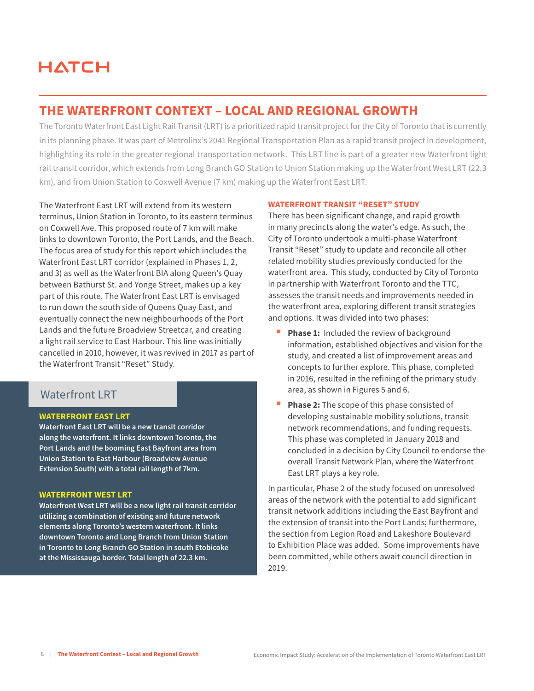### <span id="page-7-0"></span>**THE WATERFRONT CONTEXT – LOCAL AND REGIONAL GROWTH**

The Toronto Waterfront East Light Rail Transit (LRT) is a prioritized rapid transit project for the City of Toronto that is currently in its planning phase. It was part of Metrolinx's 2041 Regional Transportation Plan as a rapid transit project in development, highlighting its role in the greater regional transportation network. This LRT line is part of a greater new Waterfront light rail transit corridor, which extends from Long Branch GO Station to Union Station making up the Waterfront West LRT (22.3 km), and from Union Station to Coxwell Avenue (7 km) making up the Waterfront East LRT.

The Waterfront East LRT will extend from its western terminus, Union Station in Toronto, to its eastern terminus on Coxwell Ave. This proposed route of 7 km will make links to downtown Toronto, the Port Lands, and the Beach. The focus area of study for this report which includes the Waterfront East LRT corridor (explained in Phases 1, 2, and 3) as well as the Waterfront BIA along Queen's Quay between Bathurst St. and Yonge Street, makes up a key part of this route. The Waterfront East LRT is envisaged to run down the south side of Queens Quay East, and eventually connect the new neighbourhoods of the Port Lands and the future Broadview Streetcar, and creating a light rail service to East Harbour. This line was initially cancelled in 2010, however, it was revived in 2017 as part of the Waterfront Transit "Reset" Study.

### Waterfront LRT

#### **WATERFRONT EAST LRT**

**Waterfront East LRT will be a new transit corridor along the waterfront. It links downtown Toronto, the Port Lands and the booming East Bayfront area from Union Station to East Harbour (Broadview Avenue Extension South) with a total rail length of 7km.** 

#### **WATERFRONT WEST LRT**

**Waterfront West LRT will be a new light rail transit corridor utilizing a combination of existing and future network elements along Toronto's western waterfront. It links downtown Toronto and Long Branch from Union Station in Toronto to Long Branch GO Station in south Etobicoke at the Mississauga border. Total length of 22.3 km.** 

#### **WATERFRONT TRANSIT "RESET" STUDY**

There has been significant change, and rapid growth in many precincts along the water's edge. As such, the City of Toronto undertook a multi-phase Waterfront Transit "Reset" study to update and reconcile all other related mobility studies previously conducted for the waterfront area. This study, conducted by City of Toronto in partnership with Waterfront Toronto and the TTC, assesses the transit needs and improvements needed in the waterfront area, exploring different transit strategies and options. It was divided into two phases:

- **Phase 1:** Included the review of background information, established objectives and vision for the study, and created a list of improvement areas and concepts to further explore. This phase, completed in 2016, resulted in the refining of the primary study area, as shown in Figures 5 and 6.
- **Phase 2:** The scope of this phase consisted of developing sustainable mobility solutions, transit network recommendations, and funding requests. This phase was completed in January 2018 and concluded in a decision by City Council to endorse the overall Transit Network Plan, where the Waterfront East LRT plays a key role.

In particular, Phase 2 of the study focused on unresolved areas of the network with the potential to add significant transit network additions including the East Bayfront and the extension of transit into the Port Lands; furthermore, the section from Legion Road and Lakeshore Boulevard to Exhibition Place was added. Some improvements have been committed, while others await council direction in 2019.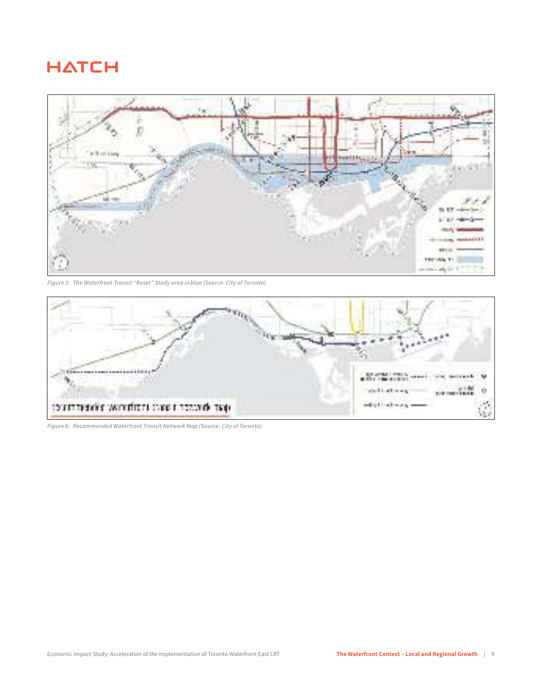

**Figure 5: The Waterfront Transit "Reset" Study area in blue (Source: City of Toronto)**



Figure 6: Recommended Waterfront Transit Network Map (Source: City of Toronto)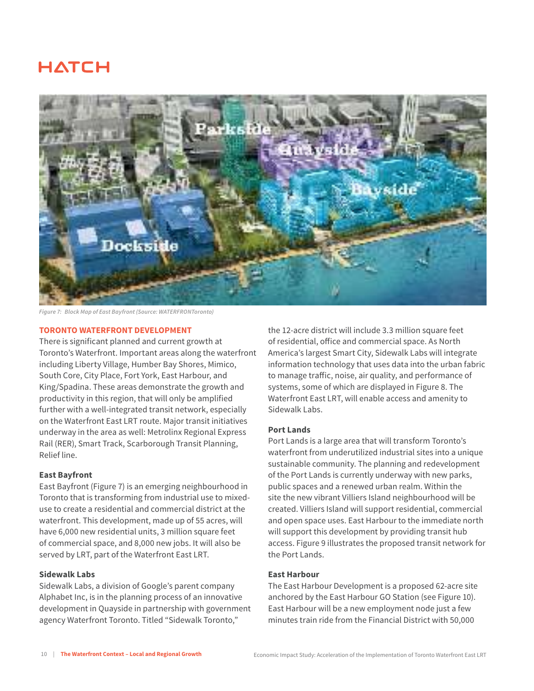<span id="page-9-0"></span>

**Figure 7: Block Map of East Bayfront (Source: WATERFRONToronto)**

#### **TORONTO WATERFRONT DEVELOPMENT**

There is significant planned and current growth at Toronto's Waterfront. Important areas along the waterfront including Liberty Village, Humber Bay Shores, Mimico, South Core, City Place, Fort York, East Harbour, and King/Spadina. These areas demonstrate the growth and productivity in this region, that will only be amplified further with a well-integrated transit network, especially on the Waterfront East LRT route. Major transit initiatives underway in the area as well: Metrolinx Regional Express Rail (RER), Smart Track, Scarborough Transit Planning, Relief line.

#### **East Bayfront**

East Bayfront (Figure 7) is an emerging neighbourhood in Toronto that is transforming from industrial use to mixeduse to create a residential and commercial district at the waterfront. This development, made up of 55 acres, will have 6,000 new residential units, 3 million square feet of commercial space, and 8,000 new jobs. It will also be served by LRT, part of the Waterfront East LRT.

#### **Sidewalk Labs**

Sidewalk Labs, a division of Google's parent company Alphabet Inc, is in the planning process of an innovative development in Quayside in partnership with government agency Waterfront Toronto. Titled "Sidewalk Toronto,"

the 12-acre district will include 3.3 million square feet of residential, office and commercial space. As North America's largest Smart City, Sidewalk Labs will integrate information technology that uses data into the urban fabric to manage traffic, noise, air quality, and performance of systems, some of which are displayed in Figure 8. The Waterfront East LRT, will enable access and amenity to Sidewalk Labs.

### **Port Lands**

Port Lands is a large area that will transform Toronto's waterfront from underutilized industrial sites into a unique sustainable community. The planning and redevelopment of the Port Lands is currently underway with new parks, public spaces and a renewed urban realm. Within the site the new vibrant Villiers Island neighbourhood will be created. Villiers Island will support residential, commercial and open space uses. East Harbour to the immediate north will support this development by providing transit hub access. Figure 9 illustrates the proposed transit network for the Port Lands.

#### **East Harbour**

The East Harbour Development is a proposed 62-acre site anchored by the East Harbour GO Station (see Figure 10). East Harbour will be a new employment node just a few minutes train ride from the Financial District with 50,000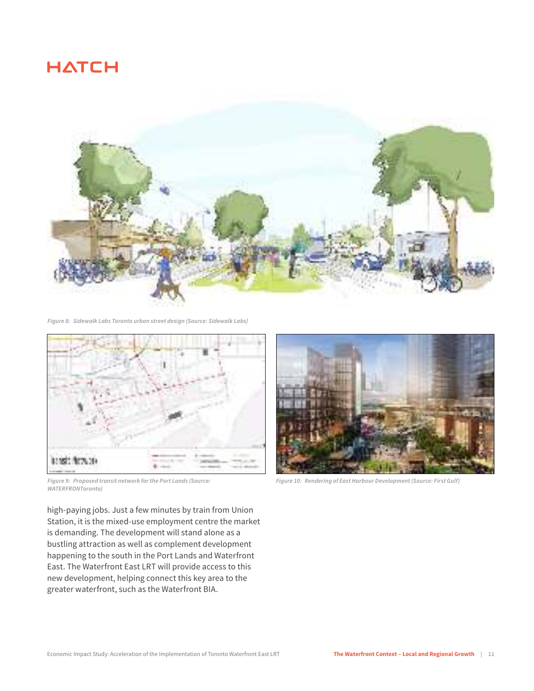

**Figure 8: Sidewalk Labs Toronto urban street design (Source: Sidewalk Labs)**



Figure 9: Proposed transit network for the Port Lands (Source: **WATERFRONToronto)**

high-paying jobs. Just a few minutes by train from Union Station, it is the mixed-use employment centre the market is demanding. The development will stand alone as a bustling attraction as well as complement development happening to the south in the Port Lands and Waterfront East. The Waterfront East LRT will provide access to this new development, helping connect this key area to the greater waterfront, such as the Waterfront BIA.



**Figure 10: Rendering of East Harbour Development (Source: First Gulf)**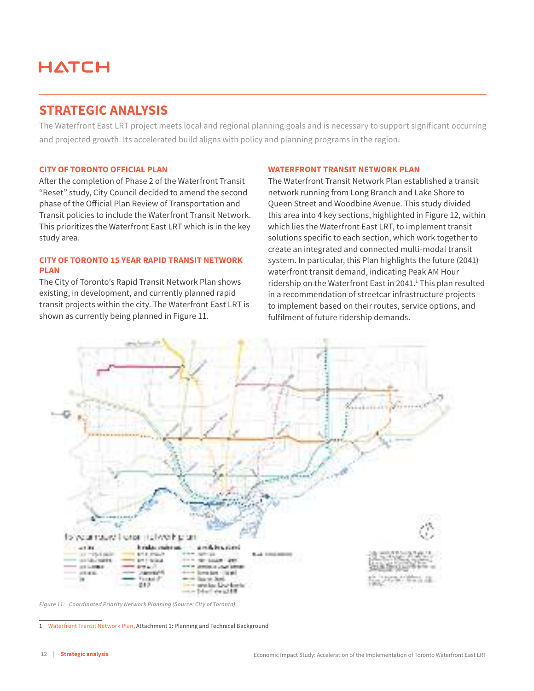### <span id="page-11-0"></span>**STRATEGIC ANALYSIS**

The Waterfront East LRT project meets local and regional planning goals and is necessary to support significant occurring and projected growth. Its accelerated build aligns with policy and planning programs in the region.

### **CITY OF TORONTO OFFICIAL PLAN**

After the completion of Phase 2 of the Waterfront Transit "Reset" study, City Council decided to amend the second phase of the Official Plan Review of Transportation and Transit policies to include the Waterfront Transit Network. This prioritizes the Waterfront East LRT which is in the key study area.

### **CITY OF TORONTO 15 YEAR RAPID TRANSIT NETWORK PLAN**

The City of Toronto's Rapid Transit Network Plan shows existing, in development, and currently planned rapid transit projects within the city. The Waterfront East LRT is shown as currently being planned in Figure 11.

### **WATERFRONT TRANSIT NETWORK PLAN**

The Waterfront Transit Network Plan established a transit network running from Long Branch and Lake Shore to Queen Street and Woodbine Avenue. This study divided this area into 4 key sections, highlighted in Figure 12, within which lies the Waterfront East LRT, to implement transit solutions specific to each section, which work together to create an integrated and connected multi-modal transit system. In particular, this Plan highlights the future (2041) waterfront transit demand, indicating Peak AM Hour ridership on the Waterfront East in 2041.<sup>1</sup> This plan resulted in a recommendation of streetcar infrastructure projects to implement based on their routes, service options, and fulfilment of future ridership demands.



**Figure 11:  Coordinated Priority Network Planning (Source: City of Toronto)**

<sup>1</sup> [Waterfront Transit Network Plan](https://www.toronto.ca/legdocs/mmis/2018/ex/bgrd/backgroundfile-110749.pdf), Attachment 1: Planning and Technical Background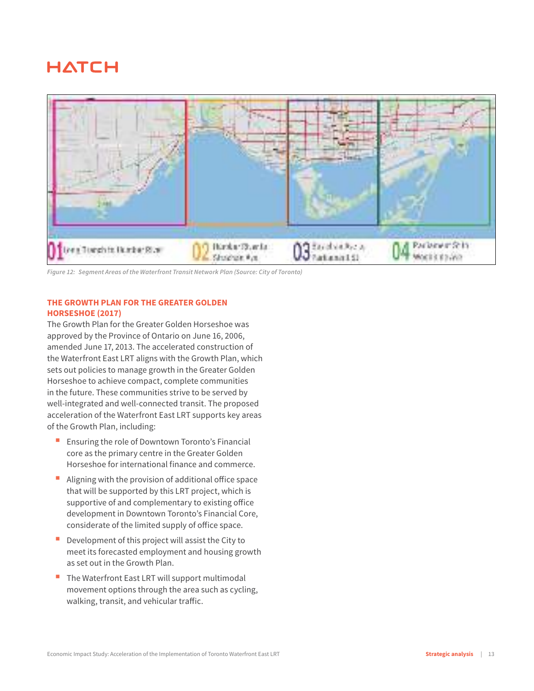<span id="page-12-0"></span>

**Figure 12: Segment Areas of the Waterfront Transit Network Plan (Source: City of Toronto)**

### **THE GROWTH PLAN FOR THE GREATER GOLDEN HORSESHOE (2017)**

The Growth Plan for the Greater Golden Horseshoe was approved by the Province of Ontario on June 16, 2006, amended June 17, 2013. The accelerated construction of the Waterfront East LRT aligns with the Growth Plan, which sets out policies to manage growth in the Greater Golden Horseshoe to achieve compact, complete communities in the future. These communities strive to be served by well-integrated and well-connected transit. The proposed acceleration of the Waterfront East LRT supports key areas of the Growth Plan, including:

- Ensuring the role of Downtown Toronto's Financial core as the primary centre in the Greater Golden Horseshoe for international finance and commerce.
- **Aligning with the provision of additional office space** that will be supported by this LRT project, which is supportive of and complementary to existing office development in Downtown Toronto's Financial Core, considerate of the limited supply of office space.
- Development of this project will assist the City to meet its forecasted employment and housing growth as set out in the Growth Plan.
- The Waterfront East LRT will support multimodal movement options through the area such as cycling, walking, transit, and vehicular traffic.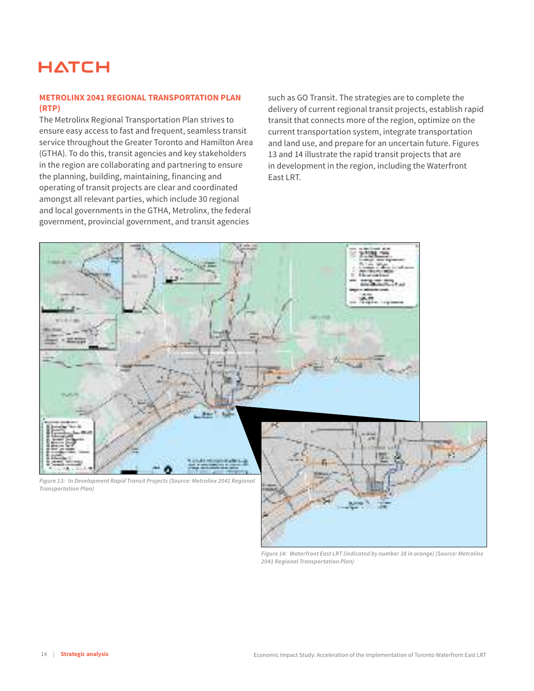### <span id="page-13-0"></span>**METROLINX 2041 REGIONAL TRANSPORTATION PLAN (RTP)**

The Metrolinx Regional Transportation Plan strives to ensure easy access to fast and frequent, seamless transit service throughout the Greater Toronto and Hamilton Area (GTHA). To do this, transit agencies and key stakeholders in the region are collaborating and partnering to ensure the planning, building, maintaining, financing and operating of transit projects are clear and coordinated amongst all relevant parties, which include 30 regional and local governments in the GTHA, Metrolinx, the federal government, provincial government, and transit agencies

such as GO Transit. The strategies are to complete the delivery of current regional transit projects, establish rapid transit that connects more of the region, optimize on the current transportation system, integrate transportation and land use, and prepare for an uncertain future. Figures 13 and 14 illustrate the rapid transit projects that are in development in the region, including the Waterfront East LRT.



**Transportation Plan)**

Figure 14: Waterfront East LRT (indicated by number 38 in orange) (Source: Metrolinx **2041 Regional Transportation Plan)**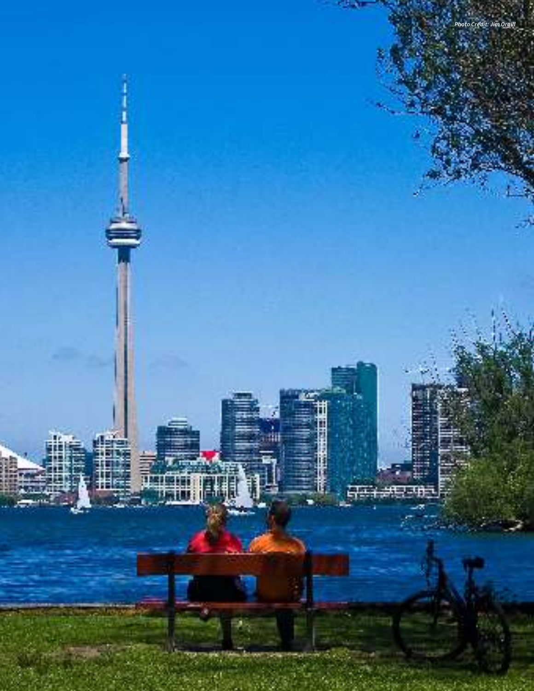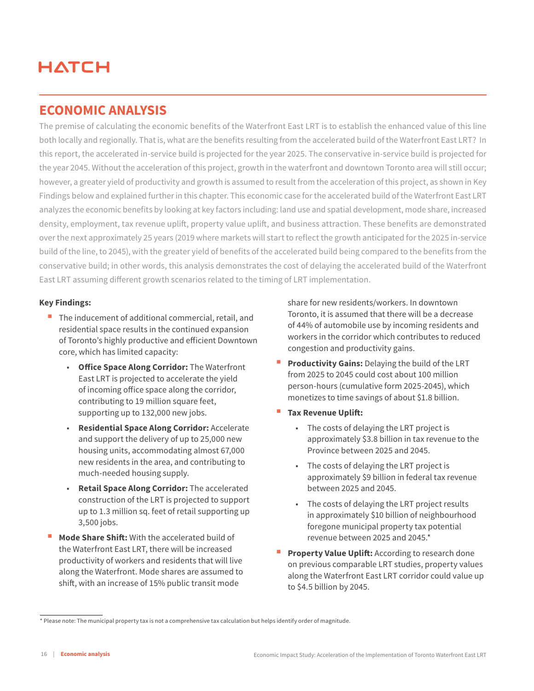### <span id="page-15-0"></span>**ECONOMIC ANALYSIS**

The premise of calculating the economic benefits of the Waterfront East LRT is to establish the enhanced value of this line both locally and regionally. That is, what are the benefits resulting from the accelerated build of the Waterfront East LRT? In this report, the accelerated in-service build is projected for the year 2025. The conservative in-service build is projected for the year 2045. Without the acceleration of this project, growth in the waterfront and downtown Toronto area will still occur; however, a greater yield of productivity and growth is assumed to result from the acceleration of this project, as shown in Key Findings below and explained further in this chapter. This economic case for the accelerated build of the Waterfront East LRT analyzes the economic benefits by looking at key factors including: land use and spatial development, mode share, increased density, employment, tax revenue uplift, property value uplift, and business attraction. These benefits are demonstrated over the next approximately 25 years (2019 where markets will start to reflect the growth anticipated for the 2025 in-service build of the line, to 2045), with the greater yield of benefits of the accelerated build being compared to the benefits from the conservative build; in other words, this analysis demonstrates the cost of delaying the accelerated build of the Waterfront East LRT assuming different growth scenarios related to the timing of LRT implementation.

### **Key Findings:**

- The inducement of additional commercial, retail, and residential space results in the continued expansion of Toronto's highly productive and efficient Downtown core, which has limited capacity:
	- **Office Space Along Corridor:** The Waterfront East LRT is projected to accelerate the yield of incoming office space along the corridor, contributing to 19 million square feet, supporting up to 132,000 new jobs.
	- **Residential Space Along Corridor:** Accelerate and support the delivery of up to 25,000 new housing units, accommodating almost 67,000 new residents in the area, and contributing to much-needed housing supply.
	- **Retail Space Along Corridor:** The accelerated construction of the LRT is projected to support up to 1.3 million sq. feet of retail supporting up 3,500 jobs.
- **Mode Share Shift:** With the accelerated build of the Waterfront East LRT, there will be increased productivity of workers and residents that will live along the Waterfront. Mode shares are assumed to shift, with an increase of 15% public transit mode

share for new residents/workers. In downtown Toronto, it is assumed that there will be a decrease of 44% of automobile use by incoming residents and workers in the corridor which contributes to reduced congestion and productivity gains.

- **Productivity Gains:** Delaying the build of the LRT from 2025 to 2045 could cost about 100 million person-hours (cumulative form 2025-2045), which monetizes to time savings of about \$1.8 billion.
- **Tax Revenue Uplift:**
	- The costs of delaying the LRT project is approximately \$3.8 billion in tax revenue to the Province between 2025 and 2045.
	- The costs of delaying the LRT project is approximately \$9 billion in federal tax revenue between 2025 and 2045.
	- The costs of delaying the LRT project results in approximately \$10 billion of neighbourhood foregone municipal property tax potential revenue between 2025 and 2045.\*
- **Property Value Uplift:** According to research done on previous comparable LRT studies, property values along the Waterfront East LRT corridor could value up to \$4.5 billion by 2045.

<sup>\*</sup> Please note: The municipal property tax is not a comprehensive tax calculation but helps identify order of magnitude.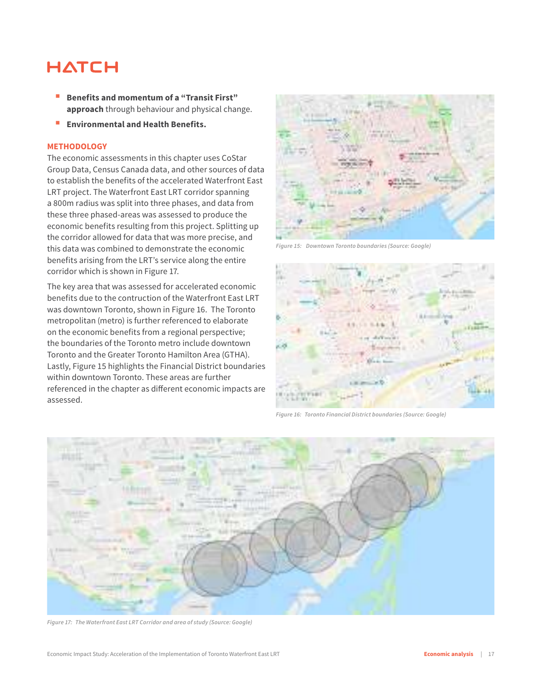- <span id="page-16-0"></span> **Benefits and momentum of a "Transit First" approach** through behaviour and physical change.
- **Environmental and Health Benefits.**

### **METHODOLOGY**

The economic assessments in this chapter uses CoStar Group Data, Census Canada data, and other sources of data to establish the benefits of the accelerated Waterfront East LRT project. The Waterfront East LRT corridor spanning a 800m radius was split into three phases, and data from these three phased-areas was assessed to produce the economic benefits resulting from this project. Splitting up the corridor allowed for data that was more precise, and this data was combined to demonstrate the economic benefits arising from the LRT's service along the entire corridor which is shown in Figure 17.

The key area that was assessed for accelerated economic benefits due to the contruction of the Waterfront East LRT was downtown Toronto, shown in Figure 16. The Toronto metropolitan (metro) is further referenced to elaborate on the economic benefits from a regional perspective; the boundaries of the Toronto metro include downtown Toronto and the Greater Toronto Hamilton Area (GTHA). Lastly, Figure 15 highlights the Financial District boundaries within downtown Toronto. These areas are further referenced in the chapter as different economic impacts are assessed.



**Figure 15:  Downtown Toronto boundaries (Source: Google)**



**Figure 16: Toronto Financial District boundaries (Source: Google)**



**Figure 17: The Waterfront East LRT Corridor and area of study (Source: Google)**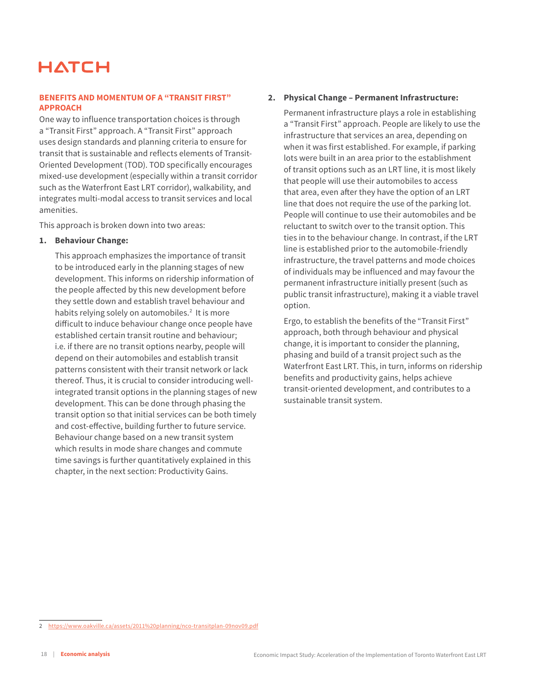### <span id="page-17-0"></span>**BENEFITS AND MOMENTUM OF A "TRANSIT FIRST" APPROACH**

One way to influence transportation choices is through a "Transit First" approach. A "Transit First" approach uses design standards and planning criteria to ensure for transit that is sustainable and reflects elements of Transit-Oriented Development (TOD). TOD specifically encourages mixed-use development (especially within a transit corridor such as the Waterfront East LRT corridor), walkability, and integrates multi-modal access to transit services and local amenities.

This approach is broken down into two areas:

#### **1. Behaviour Change:**

This approach emphasizes the importance of transit to be introduced early in the planning stages of new development. This informs on ridership information of the people affected by this new development before they settle down and establish travel behaviour and habits relying solely on automobiles.<sup>2</sup> It is more difficult to induce behaviour change once people have established certain transit routine and behaviour; i.e. if there are no transit options nearby, people will depend on their automobiles and establish transit patterns consistent with their transit network or lack thereof. Thus, it is crucial to consider introducing wellintegrated transit options in the planning stages of new development. This can be done through phasing the transit option so that initial services can be both timely and cost-effective, building further to future service. Behaviour change based on a new transit system which results in mode share changes and commute time savings is further quantitatively explained in this chapter, in the next section: Productivity Gains.

#### **2. Physical Change – Permanent Infrastructure:**

Permanent infrastructure plays a role in establishing a "Transit First" approach. People are likely to use the infrastructure that services an area, depending on when it was first established. For example, if parking lots were built in an area prior to the establishment of transit options such as an LRT line, it is most likely that people will use their automobiles to access that area, even after they have the option of an LRT line that does not require the use of the parking lot. People will continue to use their automobiles and be reluctant to switch over to the transit option. This ties in to the behaviour change. In contrast, if the LRT line is established prior to the automobile-friendly infrastructure, the travel patterns and mode choices of individuals may be influenced and may favour the permanent infrastructure initially present (such as public transit infrastructure), making it a viable travel option.

Ergo, to establish the benefits of the "Transit First" approach, both through behaviour and physical change, it is important to consider the planning, phasing and build of a transit project such as the Waterfront East LRT. This, in turn, informs on ridership benefits and productivity gains, helps achieve transit-oriented development, and contributes to a sustainable transit system.

<sup>2</sup> <https://www.oakville.ca/assets/2011%20planning/nco-transitplan-09nov09.pdf>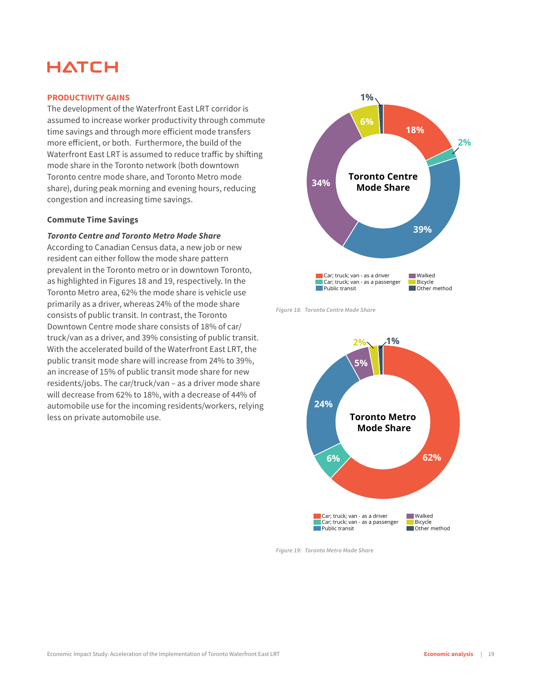#### <span id="page-18-0"></span>**PRODUCTIVITY GAINS**

The development of the Waterfront East LRT corridor is assumed to increase worker productivity through commute time savings and through more efficient mode transfers more efficient, or both. Furthermore, the build of the Waterfront East LRT is assumed to reduce traffic by shifting mode share in the Toronto network (both downtown Toronto centre mode share, and Toronto Metro mode share), during peak morning and evening hours, reducing congestion and increasing time savings.

#### **Commute Time Savings**

#### **Toronto Centre and Toronto Metro Mode Share**

According to Canadian Census data, a new job or new resident can either follow the mode share pattern prevalent in the Toronto metro or in downtown Toronto, as highlighted in Figures 18 and 19, respectively. In the Toronto Metro area, 62% the mode share is vehicle use primarily as a driver, whereas 24% of the mode share consists of public transit. In contrast, the Toronto Downtown Centre mode share consists of 18% of car/ truck/van as a driver, and 39% consisting of public transit. With the accelerated build of the Waterfront East LRT, the public transit mode share will increase from 24% to 39%, an increase of 15% of public transit mode share for new residents/jobs. The car/truck/van – as a driver mode share will decrease from 62% to 18%, with a decrease of 44% of automobile use for the incoming residents/workers, relying less on private automobile use.



**Figure 18: Toronto Centre Mode Share**



**Figure 19: Toronto Metro Mode Share**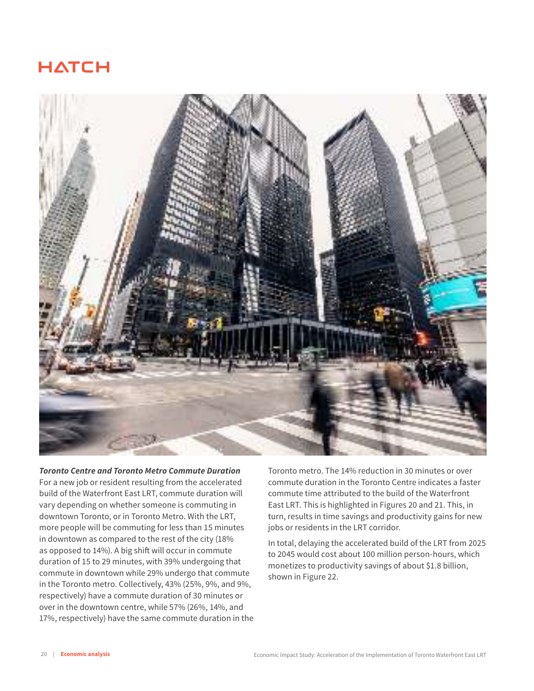<span id="page-19-0"></span>

#### **Toronto Centre and Toronto Metro Commute Duration**

For a new job or resident resulting from the accelerated build of the Waterfront East LRT, commute duration will vary depending on whether someone is commuting in downtown Toronto, or in Toronto Metro. With the LRT, more people will be commuting for less than 15 minutes in downtown as compared to the rest of the city (18% as opposed to 14%). A big shift will occur in commute duration of 15 to 29 minutes, with 39% undergoing that commute in downtown while 29% undergo that commute in the Toronto metro. Collectively, 43% (25%, 9%, and 9%, respectively) have a commute duration of 30 minutes or over in the downtown centre, while 57% (26%, 14%, and 17%, respectively) have the same commute duration in the

Toronto metro. The 14% reduction in 30 minutes or over commute duration in the Toronto Centre indicates a faster commute time attributed to the build of the Waterfront East LRT. This is highlighted in Figures 20 and 21. This, in turn, results in time savings and productivity gains for new jobs or residents in the LRT corridor.

In total, delaying the accelerated build of the LRT from 2025 to 2045 would cost about 100 million person-hours, which monetizes to productivity savings of about \$1.8 billion, shown in Figure 22.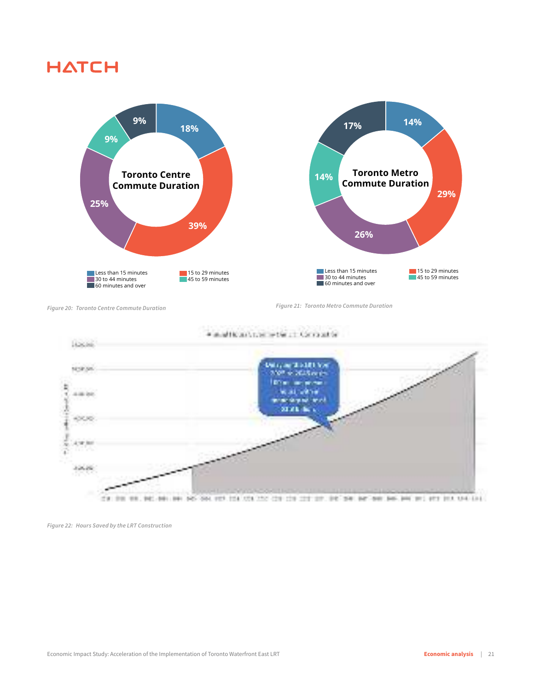

**Figure 20: Toronto Centre Commute Duration Figure 21: Toronto Metro Commute Duration**



**Figure 22: Hours Saved by the LRT Construction**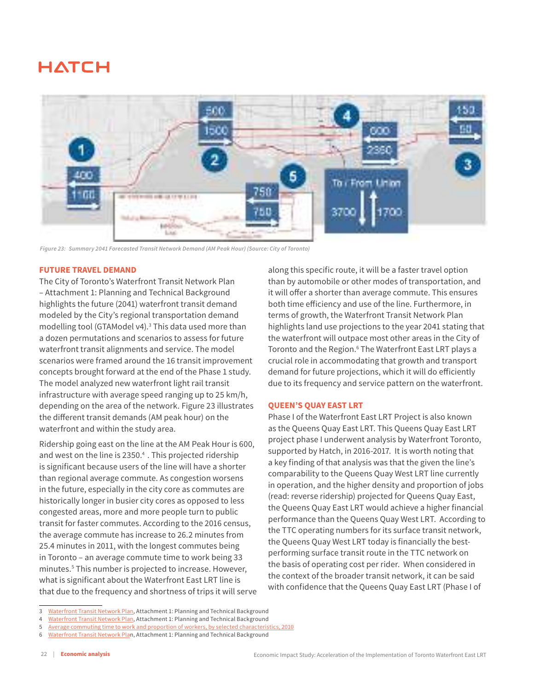<span id="page-21-0"></span>

**Figure 23: Summary 2041 Forecasted Transit Network Demand (AM Peak Hour) (Source: City of Toronto)**

#### **FUTURE TRAVEL DEMAND**

The City of Toronto's Waterfront Transit Network Plan – Attachment 1: Planning and Technical Background highlights the future (2041) waterfront transit demand modeled by the City's regional transportation demand modelling tool (GTAModel v4).<sup>3</sup> This data used more than a dozen permutations and scenarios to assess for future waterfront transit alignments and service. The model scenarios were framed around the 16 transit improvement concepts brought forward at the end of the Phase 1 study. The model analyzed new waterfront light rail transit infrastructure with average speed ranging up to 25 km/h, depending on the area of the network. Figure 23 illustrates the different transit demands (AM peak hour) on the waterfront and within the study area.

Ridership going east on the line at the AM Peak Hour is 600, and west on the line is 2350.<sup>4</sup>. This projected ridership is significant because users of the line will have a shorter than regional average commute. As congestion worsens in the future, especially in the city core as commutes are historically longer in busier city cores as opposed to less congested areas, more and more people turn to public transit for faster commutes. According to the 2016 census, the average commute has increase to 26.2 minutes from 25.4 minutes in 2011, with the longest commutes being in Toronto – an average commute time to work being 33 minutes.<sup>5</sup> This number is projected to increase. However, what is significant about the Waterfront East LRT line is that due to the frequency and shortness of trips it will serve along this specific route, it will be a faster travel option than by automobile or other modes of transportation, and it will offer a shorter than average commute. This ensures both time efficiency and use of the line. Furthermore, in terms of growth, the Waterfront Transit Network Plan highlights land use projections to the year 2041 stating that the waterfront will outpace most other areas in the City of Toronto and the Region.<sup>6</sup> The Waterfront East LRT plays a crucial role in accommodating that growth and transport demand for future projections, which it will do efficiently due to its frequency and service pattern on the waterfront.

#### **QUEEN'S QUAY EAST LRT**

Phase I of the Waterfront East LRT Project is also known as the Queens Quay East LRT. This Queens Quay East LRT project phase I underwent analysis by Waterfront Toronto, supported by Hatch, in 2016-2017. It is worth noting that a key finding of that analysis was that the given the line's comparability to the Queens Quay West LRT line currently in operation, and the higher density and proportion of jobs (read: reverse ridership) projected for Queens Quay East, the Queens Quay East LRT would achieve a higher financial performance than the Queens Quay West LRT. According to the TTC operating numbers for its surface transit network, the Queens Quay West LRT today is financially the bestperforming surface transit route in the TTC network on the basis of operating cost per rider. When considered in the context of the broader transit network, it can be said with confidence that the Queens Quay East LRT (Phase I of

<sup>3</sup> [Waterfront Transit Network Plan](Waterfront Transit Network Plan, Attachment 1: Planning and Technical Background ), Attachment 1: Planning and Technical Background

<sup>4</sup> [Waterfront Transit Network Plan](Waterfront Transit Network Plan, Attachment 1: Planning and Technical Background ), Attachment 1: Planning and Technical Background

<sup>5</sup> [Average commuting time to work and proportion of workers, by selected characteristics, 2010](https://www150.statcan.gc.ca/n1/pub/11-008-x/2011002/t/11531/tbl001-eng.htm)

<sup>6</sup> [Waterfront Transit Network Pla](https://www.toronto.ca/legdocs/mmis/2018/ex/bgrd/backgroundfile-110750.pdf)n, Attachment 1: Planning and Technical Background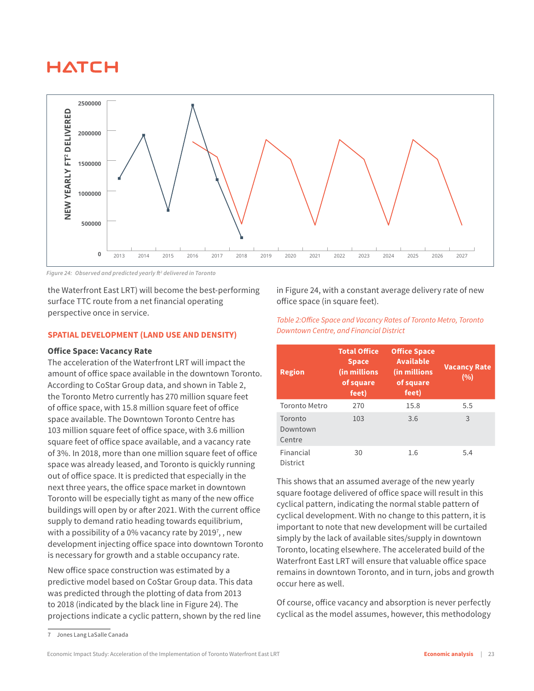<span id="page-22-0"></span>

**Figure 24: Observed and predicted yearly ft<sup>2</sup> delivered in Toronto**

the Waterfront East LRT) will become the best-performing surface TTC route from a net financial operating perspective once in service.

#### **SPATIAL DEVELOPMENT (LAND USE AND DENSITY)**

#### **Office Space: Vacancy Rate**

The acceleration of the Waterfront LRT will impact the amount of office space available in the downtown Toronto. According to CoStar Group data, and shown in Table 2, the Toronto Metro currently has 270 million square feet of office space, with 15.8 million square feet of office space available. The Downtown Toronto Centre has 103 million square feet of office space, with 3.6 million square feet of office space available, and a vacancy rate of 3%. In 2018, more than one million square feet of office space was already leased, and Toronto is quickly running out of office space. It is predicted that especially in the next three years, the office space market in downtown Toronto will be especially tight as many of the new office buildings will open by or after 2021. With the current office supply to demand ratio heading towards equilibrium, with a possibility of a 0% vacancy rate by 2019 $^7$ , , new development injecting office space into downtown Toronto is necessary for growth and a stable occupancy rate.

New office space construction was estimated by a predictive model based on CoStar Group data. This data was predicted through the plotting of data from 2013 to 2018 (indicated by the black line in Figure 24). The projections indicate a cyclic pattern, shown by the red line in Figure 24, with a constant average delivery rate of new office space (in square feet).

### Table 2:Office Space and Vacancy Rates of Toronto Metro, Toronto Downtown Centre, and Financial District

| <b>Region</b>                 | <b>Total Office</b><br><b>Space</b><br>(in millions)<br>of square<br>feet) | <b>Office Space</b><br><b>Available</b><br>(in millions<br>of square<br>feet) | <b>Vacancy Rate</b><br>(%) |
|-------------------------------|----------------------------------------------------------------------------|-------------------------------------------------------------------------------|----------------------------|
| Toronto Metro                 | 270                                                                        | 15.8                                                                          | 5.5                        |
| Toronto<br>Downtown<br>Centre | 103                                                                        | 3.6                                                                           | 3                          |
| Financial<br><b>District</b>  | 30                                                                         | 1.6                                                                           | 5.4                        |

This shows that an assumed average of the new yearly square footage delivered of office space will result in this cyclical pattern, indicating the normal stable pattern of cyclical development. With no change to this pattern, it is important to note that new development will be curtailed simply by the lack of available sites/supply in downtown Toronto, locating elsewhere. The accelerated build of the Waterfront East LRT will ensure that valuable office space remains in downtown Toronto, and in turn, jobs and growth occur here as well.

Of course, office vacancy and absorption is never perfectly cyclical as the model assumes, however, this methodology

<sup>7</sup> Jones Lang LaSalle Canada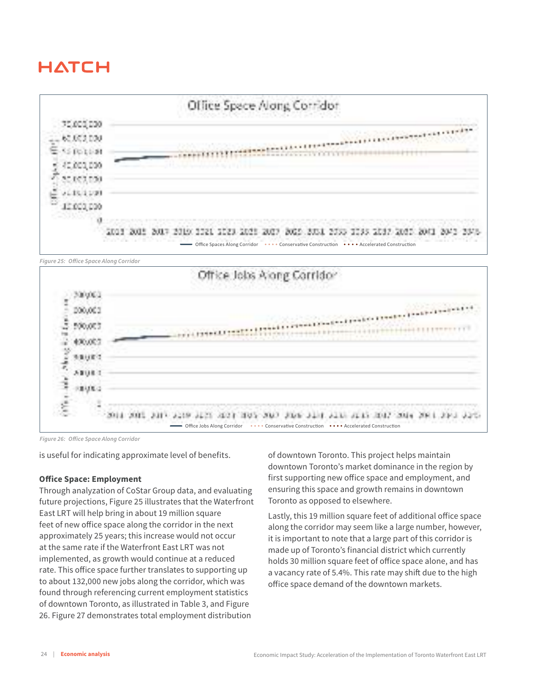<span id="page-23-0"></span>





**Figure 26: Office Space Along Corridor**

is useful for indicating approximate level of benefits.

#### **Office Space: Employment**

Through analyzation of CoStar Group data, and evaluating future projections, Figure 25 illustrates that the Waterfront East LRT will help bring in about 19 million square feet of new office space along the corridor in the next approximately 25 years; this increase would not occur at the same rate if the Waterfront East LRT was not implemented, as growth would continue at a reduced rate. This office space further translates to supporting up to about 132,000 new jobs along the corridor, which was found through referencing current employment statistics of downtown Toronto, as illustrated in Table 3, and Figure 26. Figure 27 demonstrates total employment distribution

of downtown Toronto. This project helps maintain downtown Toronto's market dominance in the region by first supporting new office space and employment, and ensuring this space and growth remains in downtown Toronto as opposed to elsewhere.

Lastly, this 19 million square feet of additional office space along the corridor may seem like a large number, however, it is important to note that a large part of this corridor is made up of Toronto's financial district which currently holds 30 million square feet of office space alone, and has a vacancy rate of 5.4%. This rate may shift due to the high office space demand of the downtown markets.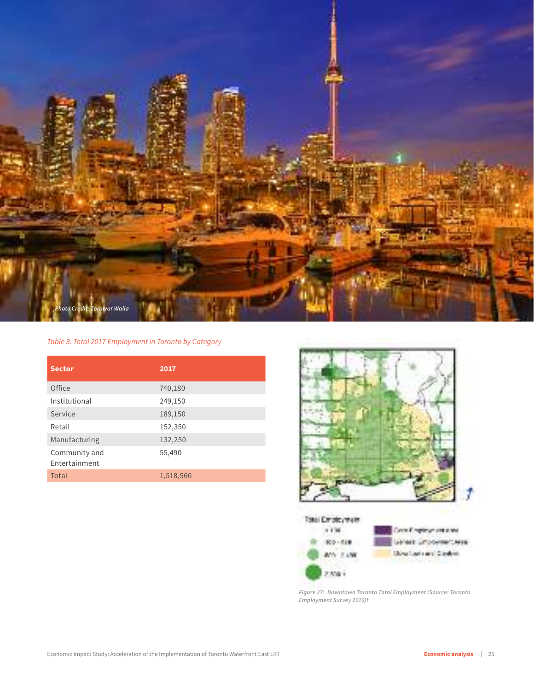

### Table 3: Total 2017 Employment in Toronto by Category

| 2017      |
|-----------|
| 740,180   |
| 249,150   |
| 189,150   |
| 152,350   |
| 132,250   |
| 55,490    |
| 1,518,560 |
|           |



**Figure 27: Downtown Toronto Total Employment (Source: Toronto Employment Survey 2016)t**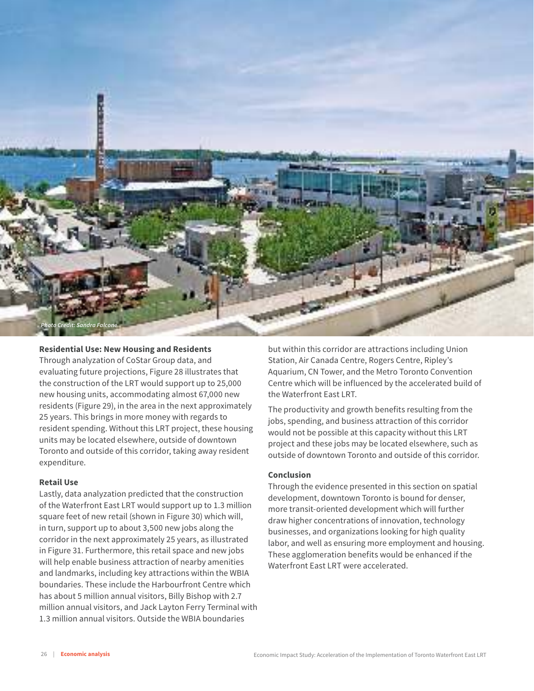<span id="page-25-0"></span>

#### **Residential Use: New Housing and Residents**

Through analyzation of CoStar Group data, and evaluating future projections, Figure 28 illustrates that the construction of the LRT would support up to 25,000 new housing units, accommodating almost 67,000 new residents (Figure 29), in the area in the next approximately 25 years. This brings in more money with regards to resident spending. Without this LRT project, these housing units may be located elsewhere, outside of downtown Toronto and outside of this corridor, taking away resident expenditure.

#### **Retail Use**

Lastly, data analyzation predicted that the construction of the Waterfront East LRT would support up to 1.3 million square feet of new retail (shown in Figure 30) which will, in turn, support up to about 3,500 new jobs along the corridor in the next approximately 25 years, as illustrated in Figure 31. Furthermore, this retail space and new jobs will help enable business attraction of nearby amenities and landmarks, including key attractions within the WBIA boundaries. These include the Harbourfront Centre which has about 5 million annual visitors, Billy Bishop with 2.7 million annual visitors, and Jack Layton Ferry Terminal with 1.3 million annual visitors. Outside the WBIA boundaries

but within this corridor are attractions including Union Station, Air Canada Centre, Rogers Centre, Ripley's Aquarium, CN Tower, and the Metro Toronto Convention Centre which will be influenced by the accelerated build of the Waterfront East LRT.

The productivity and growth benefits resulting from the jobs, spending, and business attraction of this corridor would not be possible at this capacity without this LRT project and these jobs may be located elsewhere, such as outside of downtown Toronto and outside of this corridor.

#### **Conclusion**

Through the evidence presented in this section on spatial development, downtown Toronto is bound for denser, more transit-oriented development which will further draw higher concentrations of innovation, technology businesses, and organizations looking for high quality labor, and well as ensuring more employment and housing. These agglomeration benefits would be enhanced if the Waterfront East LRT were accelerated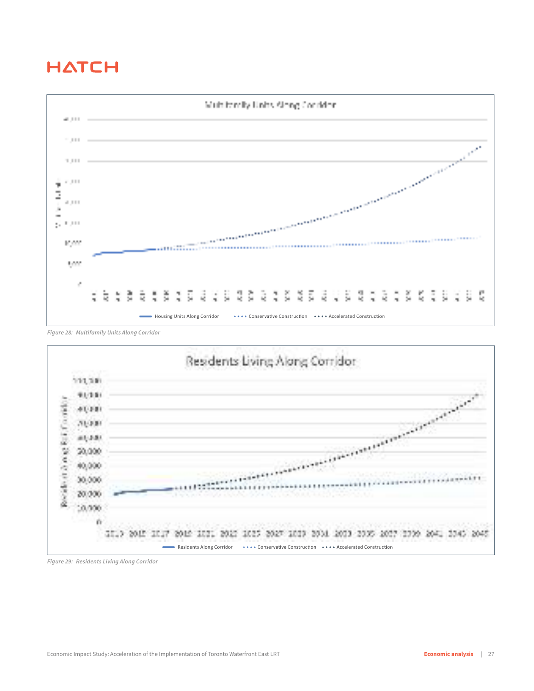

**Figure 28: Multifamily Units Along Corridor**



**Figure 29: Residents Living Along Corridor**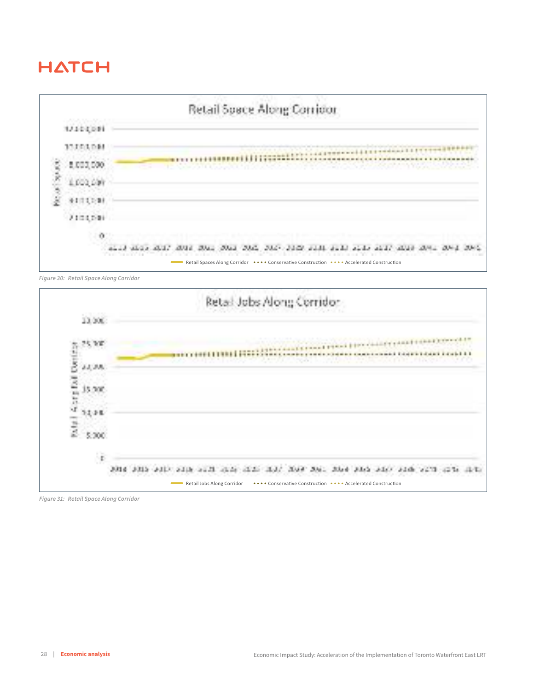

**Figure 30: Retail Space Along Corridor**



**Figure 31: Retail Space Along Corridor**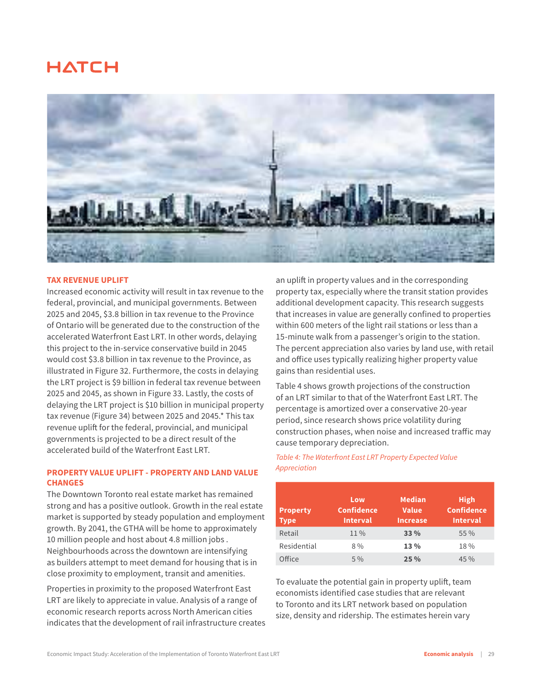<span id="page-28-0"></span>

### **TAX REVENUE UPLIFT**

Increased economic activity will result in tax revenue to the federal, provincial, and municipal governments. Between 2025 and 2045, \$3.8 billion in tax revenue to the Province of Ontario will be generated due to the construction of the accelerated Waterfront East LRT. In other words, delaying this project to the in-service conservative build in 2045 would cost \$3.8 billion in tax revenue to the Province, as illustrated in Figure 32. Furthermore, the costs in delaying the LRT project is \$9 billion in federal tax revenue between 2025 and 2045, as shown in Figure 33. Lastly, the costs of delaying the LRT project is \$10 billion in municipal property tax revenue (Figure 34) between 2025 and 2045.\* This tax revenue uplift for the federal, provincial, and municipal governments is projected to be a direct result of the accelerated build of the Waterfront East LRT.

### **PROPERTY VALUE UPLIFT - PROPERTY AND LAND VALUE CHANGES**

The Downtown Toronto real estate market has remained strong and has a positive outlook. Growth in the real estate market is supported by steady population and employment growth. By 2041, the GTHA will be home to approximately 10 million people and host about 4.8 million jobs . Neighbourhoods across the downtown are intensifying as builders attempt to meet demand for housing that is in close proximity to employment, transit and amenities.

Properties in proximity to the proposed Waterfront East LRT are likely to appreciate in value. Analysis of a range of economic research reports across North American cities indicates that the development of rail infrastructure creates an uplift in property values and in the corresponding property tax, especially where the transit station provides additional development capacity. This research suggests that increases in value are generally confined to properties within 600 meters of the light rail stations or less than a 15-minute walk from a passenger's origin to the station. The percent appreciation also varies by land use, with retail and office uses typically realizing higher property value gains than residential uses.

Table 4 shows growth projections of the construction of an LRT similar to that of the Waterfront East LRT. The percentage is amortized over a conservative 20-year period, since research shows price volatility during construction phases, when noise and increased traffic may cause temporary depreciation.

#### Table 4: The Waterfront East LRT Property Expected Value Appreciation

| <b>Property</b><br><b>Type</b> | Low<br>Confidence<br><b>Interval</b> | <b>Median</b><br>Value<br><b>Increase</b> | <b>High</b><br><b>Confidence</b><br><b>Interval</b> |
|--------------------------------|--------------------------------------|-------------------------------------------|-----------------------------------------------------|
| Retail                         | 11 %                                 | $33\%$                                    | 55 %                                                |
| Residential                    | $8\%$                                | 13 %                                      | 18 %                                                |
| Office                         | $5\%$                                | 25%                                       | 45 %                                                |

To evaluate the potential gain in property uplift, team economists identified case studies that are relevant to Toronto and its LRT network based on population size, density and ridership. The estimates herein vary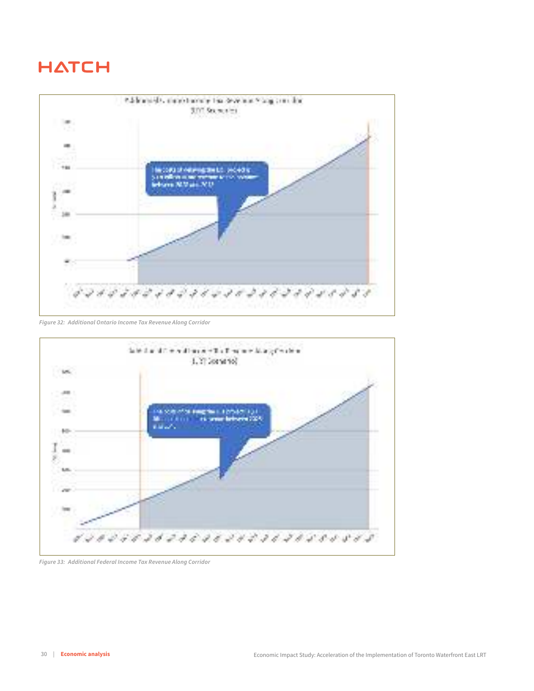

**Figure 32: Additional Ontario Income Tax Revenue Along Corridor**



**Figure 33: Additional Federal Income Tax Revenue Along Corridor**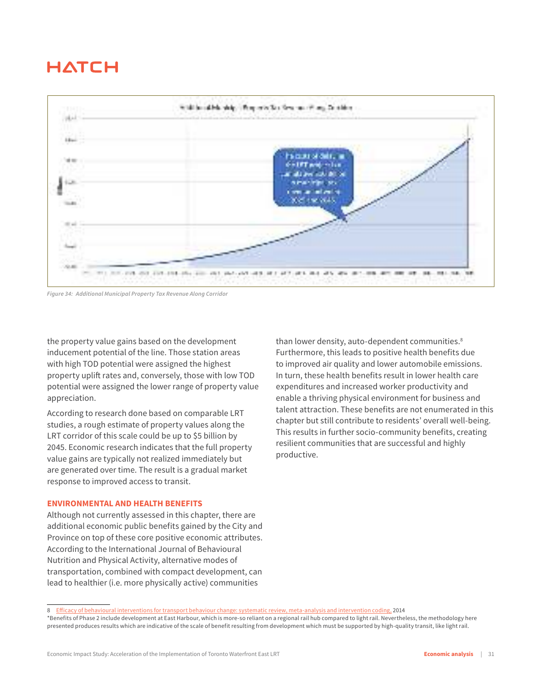

**Figure 34: Additional Municipal Property Tax Revenue Along Corridor**

the property value gains based on the development inducement potential of the line. Those station areas with high TOD potential were assigned the highest property uplift rates and, conversely, those with low TOD potential were assigned the lower range of property value appreciation.

According to research done based on comparable LRT studies, a rough estimate of property values along the LRT corridor of this scale could be up to \$5 billion by 2045. Economic research indicates that the full property value gains are typically not realized immediately but are generated over time. The result is a gradual market response to improved access to transit.

### **ENVIRONMENTAL AND HEALTH BENEFITS**

Although not currently assessed in this chapter, there are additional economic public benefits gained by the City and Province on top of these core positive economic attributes. According to the International Journal of Behavioural Nutrition and Physical Activity, alternative modes of transportation, combined with compact development, can lead to healthier (i.e. more physically active) communities

than lower density, auto-dependent communities.<sup>8</sup> Furthermore, this leads to positive health benefits due to improved air quality and lower automobile emissions. In turn, these health benefits result in lower health care expenditures and increased worker productivity and enable a thriving physical environment for business and talent attraction. These benefits are not enumerated in this chapter but still contribute to residents' overall well-being. This results in further socio-community benefits, creating resilient communities that are successful and highly productive.

\*Benefits of Phase 2 include development at East Harbour, which is more-so reliant on a regional rail hub compared to light rail. Nevertheless, the methodology here presented produces results which are indicative of the scale of benefit resulting from development which must be supported by high-quality transit, like light rail.

<sup>8</sup> [Efficacy of behavioural interventions for transport behaviour change: systematic review, meta-analysis and intervention coding,](https://ijbnpa.biomedcentral.com/track/pdf/10.1186/s12966-014-0133-9) 2014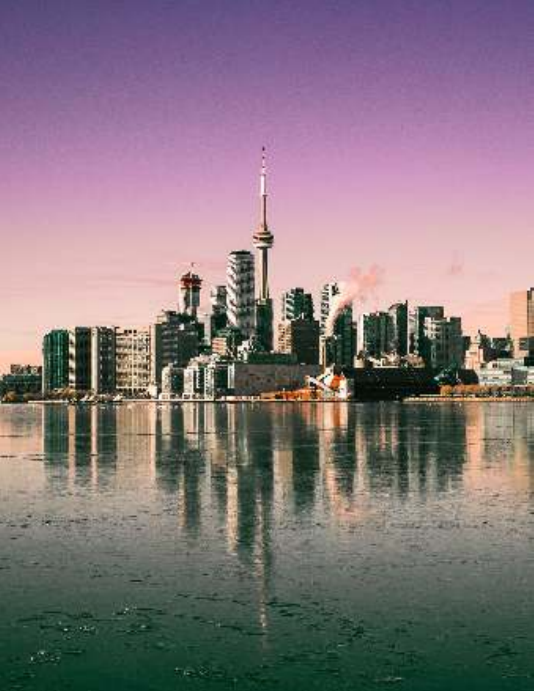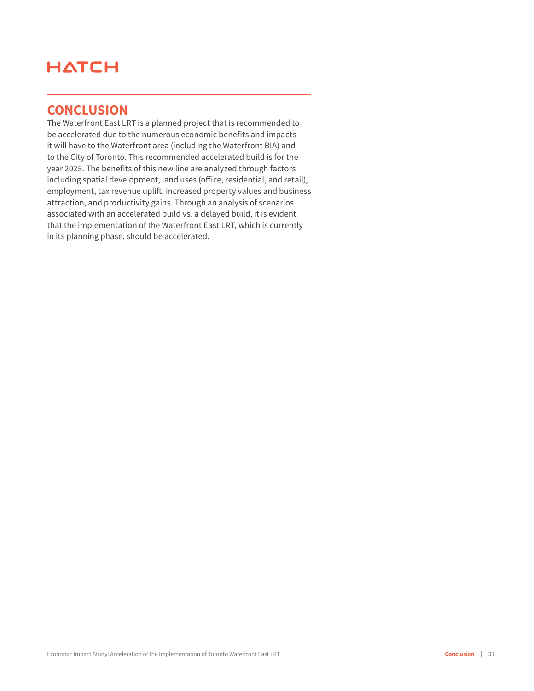### <span id="page-32-0"></span>**CONCLUSION**

The Waterfront East LRT is a planned project that is recommended to be accelerated due to the numerous economic benefits and impacts it will have to the Waterfront area (including the Waterfront BIA) and to the City of Toronto. This recommended accelerated build is for the year 2025. The benefits of this new line are analyzed through factors including spatial development, land uses (office, residential, and retail), employment, tax revenue uplift, increased property values and business attraction, and productivity gains. Through an analysis of scenarios associated with an accelerated build vs. a delayed build, it is evident that the implementation of the Waterfront East LRT, which is currently in its planning phase, should be accelerated.